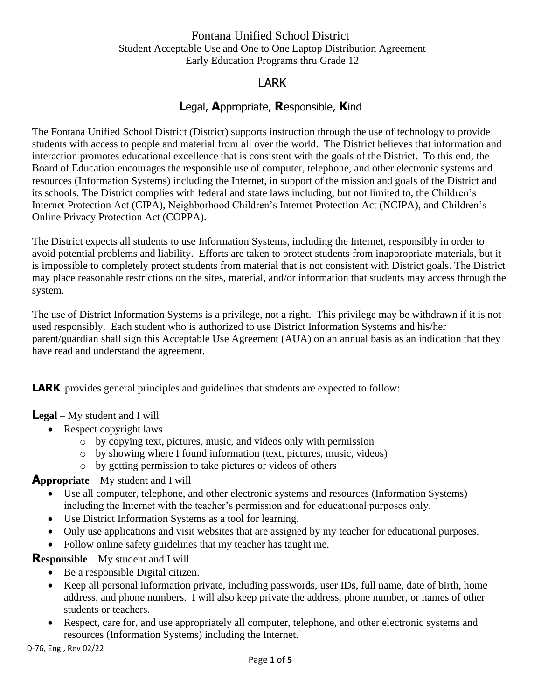## Fontana Unified School District Student Acceptable Use and One to One Laptop Distribution Agreement Early Education Programs thru Grade 12

# LARK

# **L**egal, **A**ppropriate, **R**esponsible, **K**ind

The Fontana Unified School District (District) supports instruction through the use of technology to provide students with access to people and material from all over the world. The District believes that information and interaction promotes educational excellence that is consistent with the goals of the District. To this end, the Board of Education encourages the responsible use of computer, telephone, and other electronic systems and resources (Information Systems) including the Internet, in support of the mission and goals of the District and its schools. The District complies with federal and state laws including, but not limited to, the Children's Internet Protection Act (CIPA), Neighborhood Children's Internet Protection Act (NCIPA), and Children's Online Privacy Protection Act (COPPA).

The District expects all students to use Information Systems, including the Internet, responsibly in order to avoid potential problems and liability. Efforts are taken to protect students from inappropriate materials, but it is impossible to completely protect students from material that is not consistent with District goals. The District may place reasonable restrictions on the sites, material, and/or information that students may access through the system.

The use of District Information Systems is a privilege, not a right. This privilege may be withdrawn if it is not used responsibly. Each student who is authorized to use District Information Systems and his/her parent/guardian shall sign this Acceptable Use Agreement (AUA) on an annual basis as an indication that they have read and understand the agreement.

**LARK** provides general principles and guidelines that students are expected to follow:

### **Legal** – My student and I will

- Respect copyright laws
	- o by copying text, pictures, music, and videos only with permission
	- o by showing where I found information (text, pictures, music, videos)
	- o by getting permission to take pictures or videos of others

### **Appropriate** – My student and I will

- Use all computer, telephone, and other electronic systems and resources (Information Systems) including the Internet with the teacher's permission and for educational purposes only.
- Use District Information Systems as a tool for learning.
- Only use applications and visit websites that are assigned by my teacher for educational purposes.
- Follow online safety guidelines that my teacher has taught me.

### **Responsible** – My student and I will

- Be a responsible Digital citizen.
- Keep all personal information private, including passwords, user IDs, full name, date of birth, home address, and phone numbers. I will also keep private the address, phone number, or names of other students or teachers.
- Respect, care for, and use appropriately all computer, telephone, and other electronic systems and resources (Information Systems) including the Internet.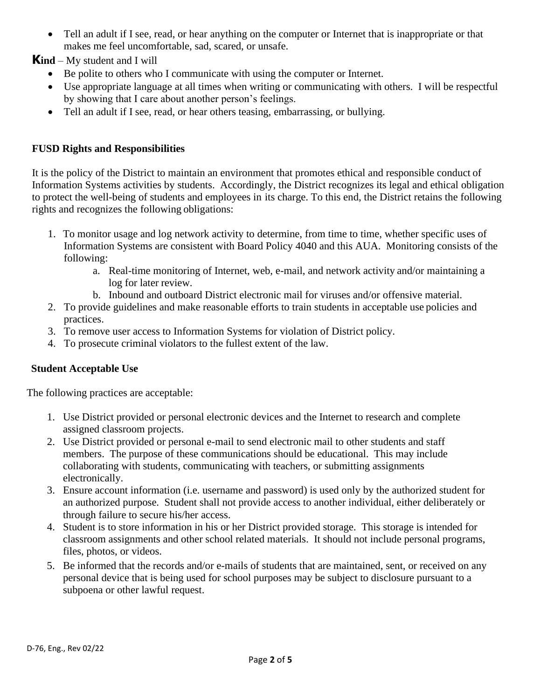• Tell an adult if I see, read, or hear anything on the computer or Internet that is inappropriate or that makes me feel uncomfortable, sad, scared, or unsafe.

**Kind** – My student and I will

- Be polite to others who I communicate with using the computer or Internet.
- Use appropriate language at all times when writing or communicating with others. I will be respectful by showing that I care about another person's feelings.
- Tell an adult if I see, read, or hear others teasing, embarrassing, or bullying.

### **FUSD Rights and Responsibilities**

It is the policy of the District to maintain an environment that promotes ethical and responsible conduct of Information Systems activities by students. Accordingly, the District recognizes its legal and ethical obligation to protect the well-being of students and employees in its charge. To this end, the District retains the following rights and recognizes the following obligations:

- 1. To monitor usage and log network activity to determine, from time to time, whether specific uses of Information Systems are consistent with Board Policy 4040 and this AUA. Monitoring consists of the following:
	- a. Real-time monitoring of Internet, web, e-mail, and network activity and/or maintaining a log for later review.
	- b. Inbound and outboard District electronic mail for viruses and/or offensive material.
- 2. To provide guidelines and make reasonable efforts to train students in acceptable use policies and practices.
- 3. To remove user access to Information Systems for violation of District policy.
- 4. To prosecute criminal violators to the fullest extent of the law.

### **Student Acceptable Use**

The following practices are acceptable:

- 1. Use District provided or personal electronic devices and the Internet to research and complete assigned classroom projects.
- 2. Use District provided or personal e-mail to send electronic mail to other students and staff members. The purpose of these communications should be educational. This may include collaborating with students, communicating with teachers, or submitting assignments electronically.
- 3. Ensure account information (i.e. username and password) is used only by the authorized student for an authorized purpose. Student shall not provide access to another individual, either deliberately or through failure to secure his/her access.
- 4. Student is to store information in his or her District provided storage. This storage is intended for classroom assignments and other school related materials. It should not include personal programs, files, photos, or videos.
- 5. Be informed that the records and/or e-mails of students that are maintained, sent, or received on any personal device that is being used for school purposes may be subject to disclosure pursuant to a subpoena or other lawful request.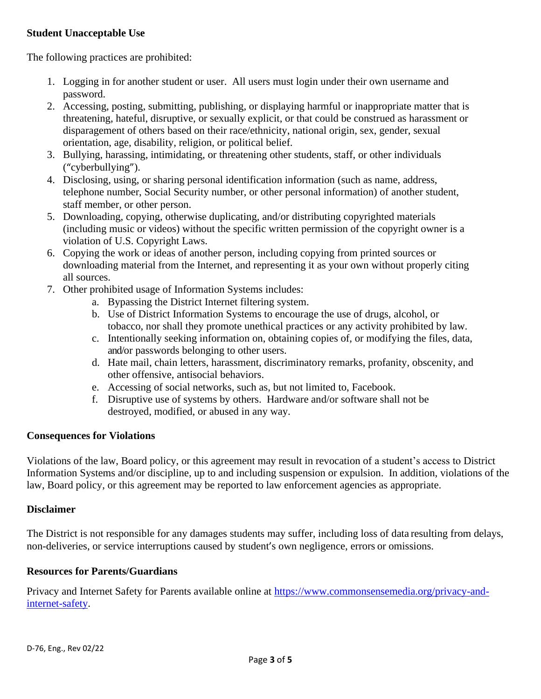### **Student Unacceptable Use**

The following practices are prohibited:

- 1. Logging in for another student or user. All users must login under their own username and password.
- 2. Accessing, posting, submitting, publishing, or displaying harmful or inappropriate matter that is threatening, hateful, disruptive, or sexually explicit, or that could be construed as harassment or disparagement of others based on their race/ethnicity, national origin, sex, gender, sexual orientation, age, disability, religion, or political belief.
- 3. Bullying, harassing, intimidating, or threatening other students, staff, or other individuals ("cyberbullying").
- 4. Disclosing, using, or sharing personal identification information (such as name, address, telephone number, Social Security number, or other personal information) of another student, staff member, or other person.
- 5. Downloading, copying, otherwise duplicating, and/or distributing copyrighted materials (including music or videos) without the specific written permission of the copyright owner is a violation of U.S. Copyright Laws.
- 6. Copying the work or ideas of another person, including copying from printed sources or downloading material from the Internet, and representing it as your own without properly citing all sources.
- 7. Other prohibited usage of Information Systems includes:
	- a. Bypassing the District Internet filtering system.
	- b. Use of District Information Systems to encourage the use of drugs, alcohol, or tobacco, nor shall they promote unethical practices or any activity prohibited by law.
	- c. Intentionally seeking information on, obtaining copies of, or modifying the files, data, and/or passwords belonging to other users.
	- d. Hate mail, chain letters, harassment, discriminatory remarks, profanity, obscenity, and other offensive, antisocial behaviors.
	- e. Accessing of social networks, such as, but not limited to, Facebook.
	- f. Disruptive use of systems by others. Hardware and/or software shall not be destroyed, modified, or abused in any way.

#### **Consequences for Violations**

Violations of the law, Board policy, or this agreement may result in revocation of a student's access to District Information Systems and/or discipline, up to and including suspension or expulsion. In addition, violations of the law, Board policy, or this agreement may be reported to law enforcement agencies as appropriate.

#### **Disclaimer**

The District is not responsible for any damages students may suffer, including loss of data resulting from delays, non-deliveries, or service interruptions caused by student's own negligence, errors or omissions.

#### **Resources for Parents/Guardians**

Privacy and Internet Safety for Parents available online at [https://www.commonsensemedia.org/privacy-and](https://www.commonsensemedia.org/privacy-and-internet-safety)[internet-safety.](https://www.commonsensemedia.org/privacy-and-internet-safety)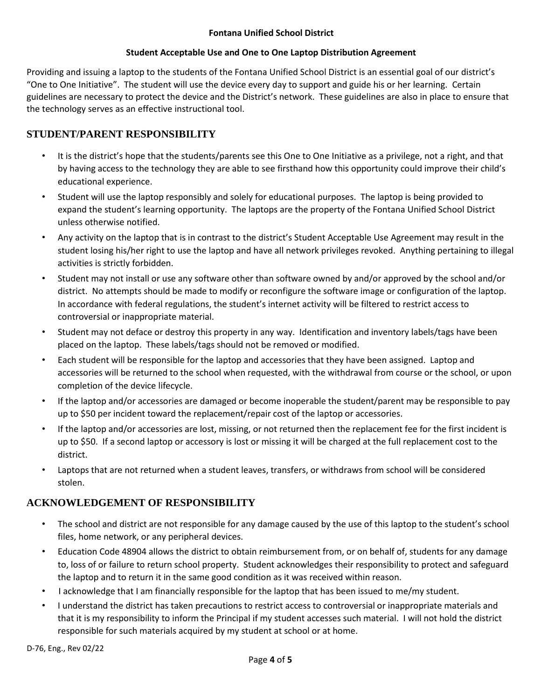#### **Fontana Unified School District**

#### **Student Acceptable Use and One to One Laptop Distribution Agreement**

Providing and issuing a laptop to the students of the Fontana Unified School District is an essential goal of our district's "One to One Initiative". The student will use the device every day to support and guide his or her learning. Certain guidelines are necessary to protect the device and the District's network. These guidelines are also in place to ensure that the technology serves as an effective instructional tool.

### **STUDENT/PARENT RESPONSIBILITY**

- It is the district's hope that the students/parents see this One to One Initiative as a privilege, not a right, and that by having access to the technology they are able to see firsthand how this opportunity could improve their child's educational experience.
- Student will use the laptop responsibly and solely for educational purposes. The laptop is being provided to expand the student's learning opportunity. The laptops are the property of the Fontana Unified School District unless otherwise notified.
- Any activity on the laptop that is in contrast to the district's Student Acceptable Use Agreement may result in the student losing his/her right to use the laptop and have all network privileges revoked. Anything pertaining to illegal activities is strictly forbidden.
- Student may not install or use any software other than software owned by and/or approved by the school and/or district. No attempts should be made to modify or reconfigure the software image or configuration of the laptop. In accordance with federal regulations, the student's internet activity will be filtered to restrict access to controversial or inappropriate material.
- Student may not deface or destroy this property in any way. Identification and inventory labels/tags have been placed on the laptop. These labels/tags should not be removed or modified.
- Each student will be responsible for the laptop and accessories that they have been assigned. Laptop and accessories will be returned to the school when requested, with the withdrawal from course or the school, or upon completion of the device lifecycle.
- If the laptop and/or accessories are damaged or become inoperable the student/parent may be responsible to pay up to \$50 per incident toward the replacement/repair cost of the laptop or accessories.
- If the laptop and/or accessories are lost, missing, or not returned then the replacement fee for the first incident is up to \$50. If a second laptop or accessory is lost or missing it will be charged at the full replacement cost to the district.
- Laptops that are not returned when a student leaves, transfers, or withdraws from school will be considered stolen.

### **ACKNOWLEDGEMENT OF RESPONSIBILITY**

- The school and district are not responsible for any damage caused by the use of this laptop to the student's school files, home network, or any peripheral devices.
- Education Code 48904 allows the district to obtain reimbursement from, or on behalf of, students for any damage to, loss of or failure to return school property. Student acknowledges their responsibility to protect and safeguard the laptop and to return it in the same good condition as it was received within reason.
- I acknowledge that I am financially responsible for the laptop that has been issued to me/my student.
- I understand the district has taken precautions to restrict access to controversial or inappropriate materials and that it is my responsibility to inform the Principal if my student accesses such material. I will not hold the district responsible for such materials acquired by my student at school or at home.